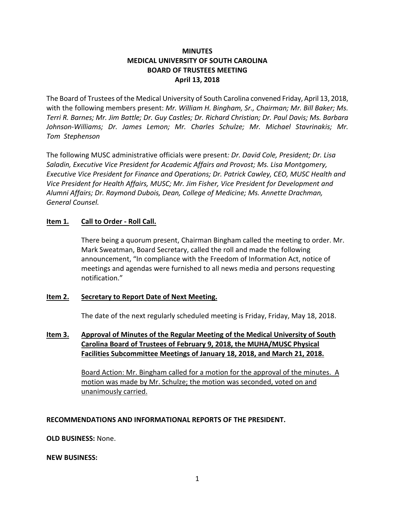# **MINUTES MEDICAL UNIVERSITY OF SOUTH CAROLINA BOARD OF TRUSTEES MEETING April 13, 2018**

The Board of Trustees of the Medical University of South Carolina convened Friday, April 13, 2018, with the following members present: *Mr. William H. Bingham, Sr., Chairman; Mr. Bill Baker; Ms. Terri R. Barnes; Mr. Jim Battle; Dr. Guy Castles; Dr. Richard Christian; Dr. Paul Davis; Ms. Barbara Johnson-Williams; Dr. James Lemon; Mr. Charles Schulze; Mr. Michael Stavrinakis; Mr. Tom Stephenson* 

The following MUSC administrative officials were present*: Dr. David Cole, President; Dr. Lisa Saladin, Executive Vice President for Academic Affairs and Provost; Ms. Lisa Montgomery, Executive Vice President for Finance and Operations; Dr. Patrick Cawley, CEO, MUSC Health and Vice President for Health Affairs, MUSC; Mr. Jim Fisher, Vice President for Development and Alumni Affairs; Dr. Raymond Dubois, Dean, College of Medicine; Ms. Annette Drachman, General Counsel.*

# **Item 1***.* **Call to Order - Roll Call.**

There being a quorum present, Chairman Bingham called the meeting to order. Mr. Mark Sweatman, Board Secretary, called the roll and made the following announcement, "In compliance with the Freedom of Information Act, notice of meetings and agendas were furnished to all news media and persons requesting notification."

# **Item 2. Secretary to Report Date of Next Meeting.**

The date of the next regularly scheduled meeting is Friday, Friday, May 18, 2018.

# **Item 3. Approval of Minutes of the Regular Meeting of the Medical University of South Carolina Board of Trustees of February 9, 2018, the MUHA/MUSC Physical Facilities Subcommittee Meetings of January 18, 2018, and March 21, 2018.**

Board Action: Mr. Bingham called for a motion for the approval of the minutes. A motion was made by Mr. Schulze; the motion was seconded, voted on and unanimously carried.

# **RECOMMENDATIONS AND INFORMATIONAL REPORTS OF THE PRESIDENT.**

**OLD BUSINESS:** None.

# **NEW BUSINESS:**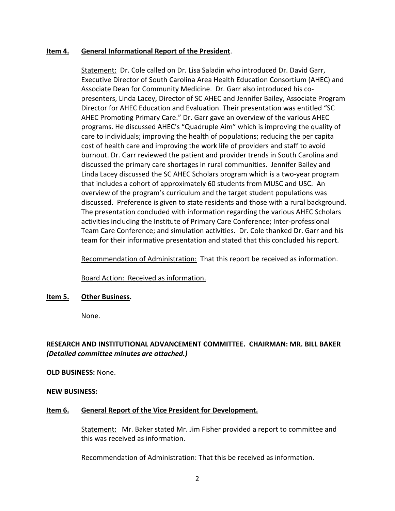### **Item 4. General Informational Report of the President**.

Statement: Dr. Cole called on Dr. Lisa Saladin who introduced Dr. David Garr, Executive Director of South Carolina Area Health Education Consortium (AHEC) and Associate Dean for Community Medicine. Dr. Garr also introduced his copresenters, Linda Lacey, Director of SC AHEC and Jennifer Bailey, Associate Program Director for AHEC Education and Evaluation. Their presentation was entitled "SC AHEC Promoting Primary Care." Dr. Garr gave an overview of the various AHEC programs. He discussed AHEC's "Quadruple Aim" which is improving the quality of care to individuals; improving the health of populations; reducing the per capita cost of health care and improving the work life of providers and staff to avoid burnout. Dr. Garr reviewed the patient and provider trends in South Carolina and discussed the primary care shortages in rural communities. Jennifer Bailey and Linda Lacey discussed the SC AHEC Scholars program which is a two-year program that includes a cohort of approximately 60 students from MUSC and USC. An overview of the program's curriculum and the target student populations was discussed. Preference is given to state residents and those with a rural background. The presentation concluded with information regarding the various AHEC Scholars activities including the Institute of Primary Care Conference; Inter-professional Team Care Conference; and simulation activities. Dr. Cole thanked Dr. Garr and his team for their informative presentation and stated that this concluded his report.

Recommendation of Administration: That this report be received as information.

Board Action: Received as information.

#### **Item 5. Other Business.**

None.

# **RESEARCH AND INSTITUTIONAL ADVANCEMENT COMMITTEE. CHAIRMAN: MR. BILL BAKER** *(Detailed committee minutes are attached.)*

# **OLD BUSINESS:** None.

# **NEW BUSINESS:**

# **Item 6. General Report of the Vice President for Development.**

Statement: Mr. Baker stated Mr. Jim Fisher provided a report to committee and this was received as information.

Recommendation of Administration: That this be received as information.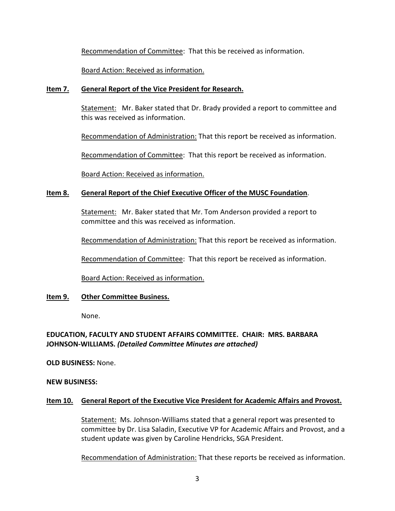Recommendation of Committee: That this be received as information.

Board Action: Received as information.

# **Item 7. General Report of the Vice President for Research.**

Statement: Mr. Baker stated that Dr. Brady provided a report to committee and this was received as information.

Recommendation of Administration: That this report be received as information.

Recommendation of Committee: That this report be received as information.

Board Action: Received as information.

# **Item 8. General Report of the Chief Executive Officer of the MUSC Foundation**.

Statement: Mr. Baker stated that Mr. Tom Anderson provided a report to committee and this was received as information.

Recommendation of Administration: That this report be received as information.

Recommendation of Committee: That this report be received as information.

Board Action: Received as information.

# **Item 9. Other Committee Business.**

None.

# **EDUCATION, FACULTY AND STUDENT AFFAIRS COMMITTEE. CHAIR: MRS. BARBARA JOHNSON-WILLIAMS.** *(Detailed Committee Minutes are attached)*

**OLD BUSINESS:** None.

# **NEW BUSINESS:**

# **Item 10. General Report of the Executive Vice President for Academic Affairs and Provost.**

Statement: Ms. Johnson-Williams stated that a general report was presented to committee by Dr. Lisa Saladin, Executive VP for Academic Affairs and Provost, and a student update was given by Caroline Hendricks, SGA President.

Recommendation of Administration: That these reports be received as information.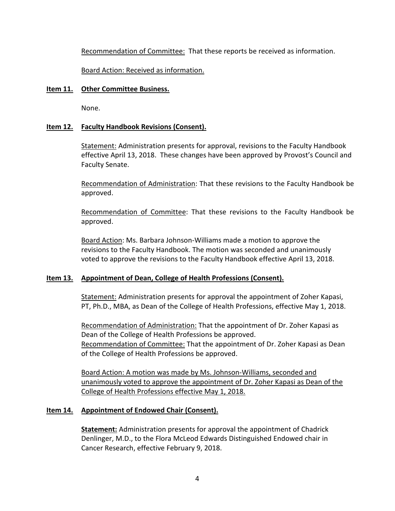Recommendation of Committee: That these reports be received as information.

Board Action: Received as information.

# **Item 11. Other Committee Business.**

None.

# **Item 12. Faculty Handbook Revisions (Consent).**

Statement: Administration presents for approval, revisions to the Faculty Handbook effective April 13, 2018. These changes have been approved by Provost's Council and Faculty Senate.

Recommendation of Administration: That these revisions to the Faculty Handbook be approved.

Recommendation of Committee: That these revisions to the Faculty Handbook be approved.

Board Action: Ms. Barbara Johnson-Williams made a motion to approve the revisions to the Faculty Handbook. The motion was seconded and unanimously voted to approve the revisions to the Faculty Handbook effective April 13, 2018.

# **Item 13. Appointment of Dean, College of Health Professions (Consent).**

Statement: Administration presents for approval the appointment of Zoher Kapasi, PT, Ph.D., MBA, as Dean of the College of Health Professions, effective May 1, 2018.

Recommendation of Administration: That the appointment of Dr. Zoher Kapasi as Dean of the College of Health Professions be approved. Recommendation of Committee: That the appointment of Dr. Zoher Kapasi as Dean of the College of Health Professions be approved.

Board Action: A motion was made by Ms. Johnson-Williams, seconded and unanimously voted to approve the appointment of Dr. Zoher Kapasi as Dean of the College of Health Professions effective May 1, 2018.

# **Item 14. Appointment of Endowed Chair (Consent).**

**Statement:** Administration presents for approval the appointment of Chadrick Denlinger, M.D., to the Flora McLeod Edwards Distinguished Endowed chair in Cancer Research, effective February 9, 2018.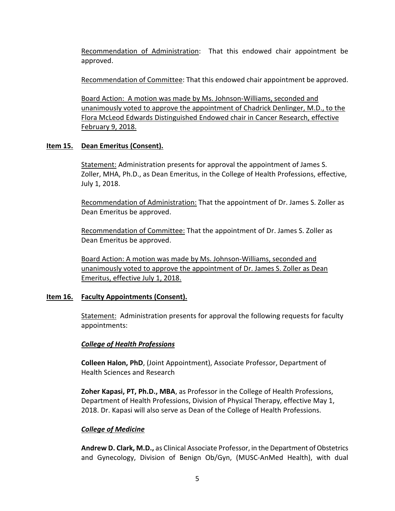Recommendation of Administration: That this endowed chair appointment be approved.

Recommendation of Committee: That this endowed chair appointment be approved.

Board Action: A motion was made by Ms. Johnson-Williams, seconded and unanimously voted to approve the appointment of Chadrick Denlinger, M.D., to the Flora McLeod Edwards Distinguished Endowed chair in Cancer Research, effective February 9, 2018.

# **Item 15. Dean Emeritus (Consent).**

Statement: Administration presents for approval the appointment of James S. Zoller, MHA, Ph.D., as Dean Emeritus, in the College of Health Professions, effective, July 1, 2018.

Recommendation of Administration: That the appointment of Dr. James S. Zoller as Dean Emeritus be approved.

Recommendation of Committee: That the appointment of Dr. James S. Zoller as Dean Emeritus be approved.

Board Action: A motion was made by Ms. Johnson-Williams, seconded and unanimously voted to approve the appointment of Dr. James S. Zoller as Dean Emeritus, effective July 1, 2018.

# **Item 16. Faculty Appointments (Consent).**

Statement: Administration presents for approval the following requests for faculty appointments:

# *College of Health Professions*

**Colleen Halon, PhD**, (Joint Appointment), Associate Professor, Department of Health Sciences and Research

**Zoher Kapasi, PT, Ph.D., MBA**, as Professor in the College of Health Professions, Department of Health Professions, Division of Physical Therapy, effective May 1, 2018. Dr. Kapasi will also serve as Dean of the College of Health Professions.

# *College of Medicine*

**Andrew D. Clark, M.D.,** as Clinical Associate Professor, in the Department of Obstetrics and Gynecology, Division of Benign Ob/Gyn, (MUSC-AnMed Health), with dual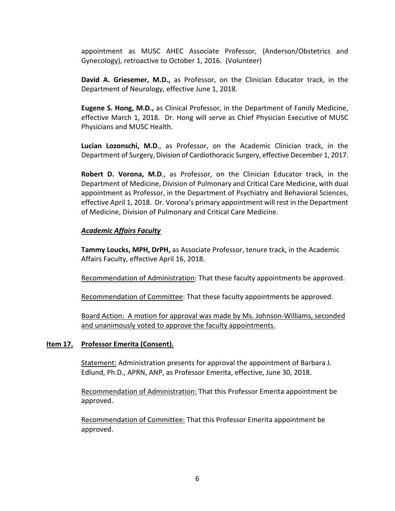appointment as MUSC AHEC Associate Professor, (Anderson/Obstetrics and Gynecology), retroactive to October 1, 2016. (Volunteer)

**David A. Griesemer, M.D.,** as Professor, on the Clinician Educator track, in the Department of Neurology, effective June 1, 2018.

**Eugene S. Hong, M.D.,** as Clinical Professor, in the Department of Family Medicine, effective March 1, 2018. Dr. Hong will serve as Chief Physician Executive of MUSC Physicians and MUSC Health.

**Lucian Lozonschi, M.D**., as Professor, on the Academic Clinician track, in the Department of Surgery, Division of Cardiothoracic Surgery, effective December 1, 2017.

**Robert D. Vorona, M.D**., as Professor, on the Clinician Educator track, in the Department of Medicine, Division of Pulmonary and Critical Care Medicine, with dual appointment as Professor, in the Department of Psychiatry and Behavioral Sciences, effective April 1, 2018. Dr. Vorona's primary appointment will rest in the Department of Medicine, Division of Pulmonary and Critical Care Medicine.

# *Academic Affairs Faculty*

**Tammy Loucks, MPH, DrPH,** as Associate Professor, tenure track, in the Academic Affairs Faculty, effective April 16, 2018.

Recommendation of Administration: That these faculty appointments be approved.

Recommendation of Committee: That these faculty appointments be approved.

Board Action: A motion for approval was made by Ms. Johnson-Williams, seconded and unanimously voted to approve the faculty appointments.

# **Item 17. Professor Emerita (Consent).**

Statement: Administration presents for approval the appointment of Barbara J. Edlund, Ph.D., APRN, ANP, as Professor Emerita, effective, June 30, 2018.

Recommendation of Administration: That this Professor Emerita appointment be approved.

Recommendation of Committee: That this Professor Emerita appointment be approved.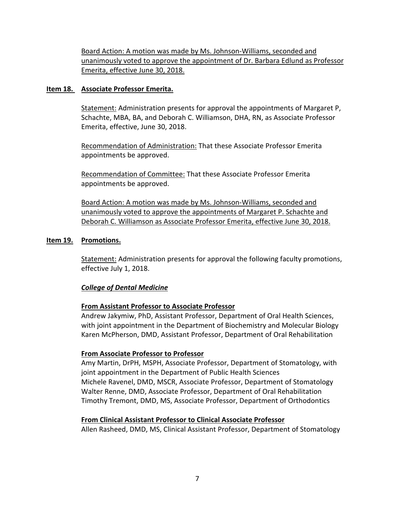Board Action: A motion was made by Ms. Johnson-Williams, seconded and unanimously voted to approve the appointment of Dr. Barbara Edlund as Professor Emerita, effective June 30, 2018.

# **Item 18. Associate Professor Emerita.**

Statement: Administration presents for approval the appointments of Margaret P, Schachte, MBA, BA, and Deborah C. Williamson, DHA, RN, as Associate Professor Emerita, effective, June 30, 2018.

Recommendation of Administration: That these Associate Professor Emerita appointments be approved.

Recommendation of Committee: That these Associate Professor Emerita appointments be approved.

Board Action: A motion was made by Ms. Johnson-Williams, seconded and unanimously voted to approve the appointments of Margaret P. Schachte and Deborah C. Williamson as Associate Professor Emerita, effective June 30, 2018.

# **Item 19. Promotions.**

Statement: Administration presents for approval the following faculty promotions, effective July 1, 2018.

# *College of Dental Medicine*

# **From Assistant Professor to Associate Professor**

Andrew Jakymiw, PhD, Assistant Professor, Department of Oral Health Sciences, with joint appointment in the Department of Biochemistry and Molecular Biology Karen McPherson, DMD, Assistant Professor, Department of Oral Rehabilitation

# **From Associate Professor to Professor**

Amy Martin, DrPH, MSPH, Associate Professor, Department of Stomatology, with joint appointment in the Department of Public Health Sciences Michele Ravenel, DMD, MSCR, Associate Professor, Department of Stomatology Walter Renne, DMD, Associate Professor, Department of Oral Rehabilitation Timothy Tremont, DMD, MS, Associate Professor, Department of Orthodontics

# **From Clinical Assistant Professor to Clinical Associate Professor**

Allen Rasheed, DMD, MS, Clinical Assistant Professor, Department of Stomatology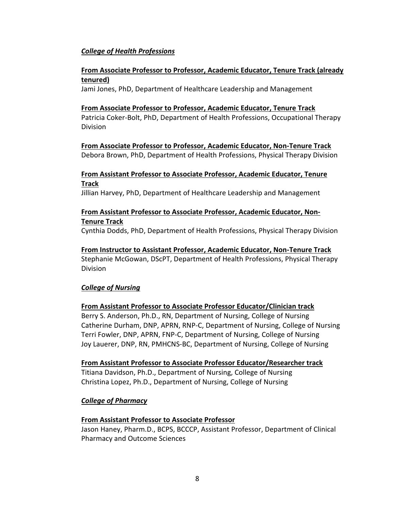# *College of Health Professions*

# **From Associate Professor to Professor, Academic Educator, Tenure Track (already tenured)**

Jami Jones, PhD, Department of Healthcare Leadership and Management

# **From Associate Professor to Professor, Academic Educator, Tenure Track**

Patricia Coker-Bolt, PhD, Department of Health Professions, Occupational Therapy Division

**From Associate Professor to Professor, Academic Educator, Non-Tenure Track** Debora Brown, PhD, Department of Health Professions, Physical Therapy Division

# **From Assistant Professor to Associate Professor, Academic Educator, Tenure Track**

Jillian Harvey, PhD, Department of Healthcare Leadership and Management

# **From Assistant Professor to Associate Professor, Academic Educator, Non-Tenure Track**

Cynthia Dodds, PhD, Department of Health Professions, Physical Therapy Division

# **From Instructor to Assistant Professor, Academic Educator, Non-Tenure Track**

Stephanie McGowan, DScPT, Department of Health Professions, Physical Therapy Division

# *College of Nursing*

# **From Assistant Professor to Associate Professor Educator/Clinician track**

Berry S. Anderson, Ph.D., RN, Department of Nursing, College of Nursing Catherine Durham, DNP, APRN, RNP-C, Department of Nursing, College of Nursing Terri Fowler, DNP, APRN, FNP-C, Department of Nursing, College of Nursing Joy Lauerer, DNP, RN, PMHCNS-BC, Department of Nursing, College of Nursing

# **From Assistant Professor to Associate Professor Educator/Researcher track**

Titiana Davidson, Ph.D., Department of Nursing, College of Nursing Christina Lopez, Ph.D., Department of Nursing, College of Nursing

# *College of Pharmacy*

# **From Assistant Professor to Associate Professor**

Jason Haney, Pharm.D., BCPS, BCCCP, Assistant Professor, Department of Clinical Pharmacy and Outcome Sciences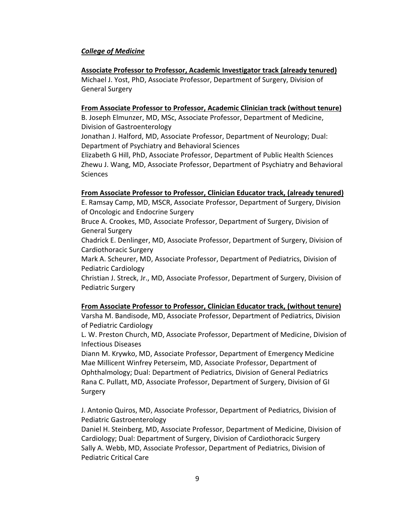# *College of Medicine*

### **Associate Professor to Professor, Academic Investigator track (already tenured)**

Michael J. Yost, PhD, Associate Professor, Department of Surgery, Division of General Surgery

### **From Associate Professor to Professor, Academic Clinician track (without tenure)**

B. Joseph Elmunzer, MD, MSc, Associate Professor, Department of Medicine, Division of Gastroenterology

Jonathan J. Halford, MD, Associate Professor, Department of Neurology; Dual: Department of Psychiatry and Behavioral Sciences

Elizabeth G Hill, PhD, Associate Professor, Department of Public Health Sciences Zhewu J. Wang, MD, Associate Professor, Department of Psychiatry and Behavioral Sciences

### **From Associate Professor to Professor, Clinician Educator track, (already tenured)**

E. Ramsay Camp, MD, MSCR, Associate Professor, Department of Surgery, Division of Oncologic and Endocrine Surgery

Bruce A. Crookes, MD, Associate Professor, Department of Surgery, Division of General Surgery

Chadrick E. Denlinger, MD, Associate Professor, Department of Surgery, Division of Cardiothoracic Surgery

Mark A. Scheurer, MD, Associate Professor, Department of Pediatrics, Division of Pediatric Cardiology

Christian J. Streck, Jr., MD, Associate Professor, Department of Surgery, Division of Pediatric Surgery

# **From Associate Professor to Professor, Clinician Educator track, (without tenure)**

Varsha M. Bandisode, MD, Associate Professor, Department of Pediatrics, Division of Pediatric Cardiology

L. W. Preston Church, MD, Associate Professor, Department of Medicine, Division of Infectious Diseases

Diann M. Krywko, MD, Associate Professor, Department of Emergency Medicine Mae Millicent Winfrey Peterseim, MD, Associate Professor, Department of Ophthalmology; Dual: Department of Pediatrics, Division of General Pediatrics Rana C. Pullatt, MD, Associate Professor, Department of Surgery, Division of GI Surgery

J. Antonio Quiros, MD, Associate Professor, Department of Pediatrics, Division of Pediatric Gastroenterology

Daniel H. Steinberg, MD, Associate Professor, Department of Medicine, Division of Cardiology; Dual: Department of Surgery, Division of Cardiothoracic Surgery Sally A. Webb, MD, Associate Professor, Department of Pediatrics, Division of Pediatric Critical Care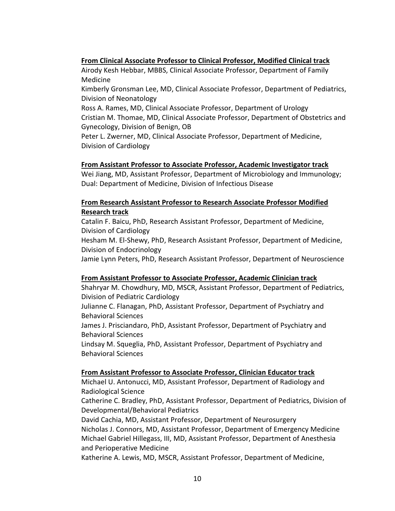# **From Clinical Associate Professor to Clinical Professor, Modified Clinical track**

Airody Kesh Hebbar, MBBS, Clinical Associate Professor, Department of Family Medicine

Kimberly Gronsman Lee, MD, Clinical Associate Professor, Department of Pediatrics, Division of Neonatology

Ross A. Rames, MD, Clinical Associate Professor, Department of Urology Cristian M. Thomae, MD, Clinical Associate Professor, Department of Obstetrics and Gynecology, Division of Benign, OB

Peter L. Zwerner, MD, Clinical Associate Professor, Department of Medicine, Division of Cardiology

# **From Assistant Professor to Associate Professor, Academic Investigator track**

Wei Jiang, MD, Assistant Professor, Department of Microbiology and Immunology; Dual: Department of Medicine, Division of Infectious Disease

# **From Research Assistant Professor to Research Associate Professor Modified Research track**

Catalin F. Baicu, PhD, Research Assistant Professor, Department of Medicine, Division of Cardiology

Hesham M. El-Shewy, PhD, Research Assistant Professor, Department of Medicine, Division of Endocrinology

Jamie Lynn Peters, PhD, Research Assistant Professor, Department of Neuroscience

# **From Assistant Professor to Associate Professor, Academic Clinician track**

Shahryar M. Chowdhury, MD, MSCR, Assistant Professor, Department of Pediatrics, Division of Pediatric Cardiology

Julianne C. Flanagan, PhD, Assistant Professor, Department of Psychiatry and Behavioral Sciences

James J. Prisciandaro, PhD, Assistant Professor, Department of Psychiatry and Behavioral Sciences

Lindsay M. Squeglia, PhD, Assistant Professor, Department of Psychiatry and Behavioral Sciences

# **From Assistant Professor to Associate Professor, Clinician Educator track**

Michael U. Antonucci, MD, Assistant Professor, Department of Radiology and Radiological Science

Catherine C. Bradley, PhD, Assistant Professor, Department of Pediatrics, Division of Developmental/Behavioral Pediatrics

David Cachia, MD, Assistant Professor, Department of Neurosurgery

Nicholas J. Connors, MD, Assistant Professor, Department of Emergency Medicine Michael Gabriel Hillegass, III, MD, Assistant Professor, Department of Anesthesia and Perioperative Medicine

Katherine A. Lewis, MD, MSCR, Assistant Professor, Department of Medicine,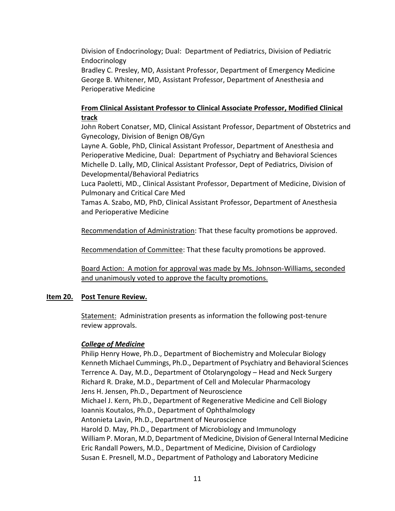Division of Endocrinology; Dual: Department of Pediatrics, Division of Pediatric Endocrinology

Bradley C. Presley, MD, Assistant Professor, Department of Emergency Medicine George B. Whitener, MD, Assistant Professor, Department of Anesthesia and Perioperative Medicine

# **From Clinical Assistant Professor to Clinical Associate Professor, Modified Clinical track**

John Robert Conatser, MD, Clinical Assistant Professor, Department of Obstetrics and Gynecology, Division of Benign OB/Gyn

Layne A. Goble, PhD, Clinical Assistant Professor, Department of Anesthesia and Perioperative Medicine, Dual: Department of Psychiatry and Behavioral Sciences Michelle D. Lally, MD, Clinical Assistant Professor, Dept of Pediatrics, Division of Developmental/Behavioral Pediatrics

Luca Paoletti, MD., Clinical Assistant Professor, Department of Medicine, Division of Pulmonary and Critical Care Med

Tamas A. Szabo, MD, PhD, Clinical Assistant Professor, Department of Anesthesia and Perioperative Medicine

Recommendation of Administration: That these faculty promotions be approved.

Recommendation of Committee: That these faculty promotions be approved.

Board Action: A motion for approval was made by Ms. Johnson-Williams, seconded and unanimously voted to approve the faculty promotions.

# **Item 20. Post Tenure Review.**

Statement: Administration presents as information the following post-tenure review approvals.

# *College of Medicine*

Philip Henry Howe, Ph.D., Department of Biochemistry and Molecular Biology Kenneth Michael Cummings, Ph.D., Department of Psychiatry and Behavioral Sciences Terrence A. Day, M.D., Department of Otolaryngology – Head and Neck Surgery Richard R. Drake, M.D., Department of Cell and Molecular Pharmacology Jens H. Jensen, Ph.D., Department of Neuroscience Michael J. Kern, Ph.D., Department of Regenerative Medicine and Cell Biology Ioannis Koutalos, Ph.D., Department of Ophthalmology Antonieta Lavin, Ph.D., Department of Neuroscience Harold D. May, Ph.D., Department of Microbiology and Immunology William P. Moran, M.D, Department of Medicine, Division of General Internal Medicine Eric Randall Powers, M.D., Department of Medicine, Division of Cardiology Susan E. Presnell, M.D., Department of Pathology and Laboratory Medicine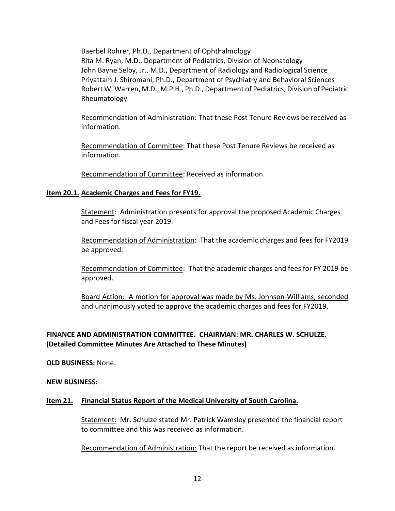Baerbel Rohrer, Ph.D., Department of Ophthalmology Rita M. Ryan, M.D., Department of Pediatrics, Division of Neonatology John Bayne Selby, Jr., M.D., Department of Radiology and Radiological Science Priyattam J. Shiromani, Ph.D., Department of Psychiatry and Behavioral Sciences Robert W. Warren, M.D., M.P.H., Ph.D., Department of Pediatrics, Division of Pediatric Rheumatology

Recommendation of Administration: That these Post Tenure Reviews be received as information.

Recommendation of Committee: That these Post Tenure Reviews be received as information.

Recommendation of Committee: Received as information.

# **Item 20.1. Academic Charges and Fees for FY19.**

Statement: Administration presents for approval the proposed Academic Charges and Fees for fiscal year 2019.

Recommendation of Administration: That the academic charges and fees for FY2019 be approved.

Recommendation of Committee: That the academic charges and fees for FY 2019 be approved.

Board Action: A motion for approval was made by Ms. Johnson-Williams, seconded and unanimously voted to approve the academic charges and fees for FY2019.

# **FINANCE AND ADMINISTRATION COMMITTEE. CHAIRMAN: MR. CHARLES W. SCHULZE. (Detailed Committee Minutes Are Attached to These Minutes)**

**OLD BUSINESS:** None.

# **NEW BUSINESS:**

# **Item 21. Financial Status Report of the Medical University of South Carolina.**

Statement: Mr. Schulze stated Mr. Patrick Wamsley presented the financial report to committee and this was received as information.

Recommendation of Administration: That the report be received as information.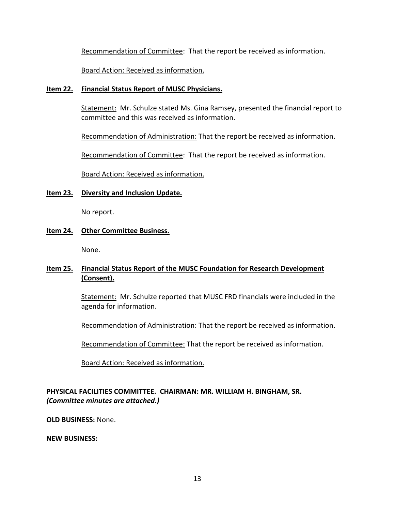Recommendation of Committee: That the report be received as information.

Board Action: Received as information.

### **Item 22. Financial Status Report of MUSC Physicians.**

Statement: Mr. Schulze stated Ms. Gina Ramsey, presented the financial report to committee and this was received as information.

Recommendation of Administration: That the report be received as information.

Recommendation of Committee: That the report be received as information.

Board Action: Received as information.

# **Item 23. Diversity and Inclusion Update.**

No report.

# **Item 24. Other Committee Business.**

None.

# **Item 25. Financial Status Report of the MUSC Foundation for Research Development (Consent).**

Statement: Mr. Schulze reported that MUSC FRD financials were included in the agenda for information.

Recommendation of Administration: That the report be received as information.

Recommendation of Committee: That the report be received as information.

Board Action: Received as information.

# **PHYSICAL FACILITIES COMMITTEE. CHAIRMAN: MR. WILLIAM H. BINGHAM, SR.**  *(Committee minutes are attached.)*

**OLD BUSINESS:** None.

**NEW BUSINESS:**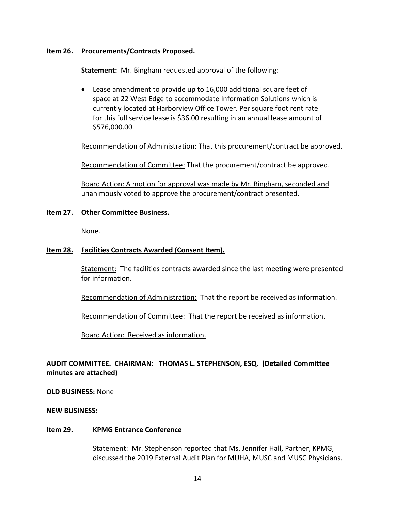### **Item 26. Procurements/Contracts Proposed.**

**Statement:** Mr. Bingham requested approval of the following:

• Lease amendment to provide up to 16,000 additional square feet of space at 22 West Edge to accommodate Information Solutions which is currently located at Harborview Office Tower. Per square foot rent rate for this full service lease is \$36.00 resulting in an annual lease amount of \$576,000.00.

Recommendation of Administration: That this procurement/contract be approved.

Recommendation of Committee: That the procurement/contract be approved.

Board Action: A motion for approval was made by Mr. Bingham, seconded and unanimously voted to approve the procurement/contract presented.

### **Item 27. Other Committee Business.**

None.

### **Item 28. Facilities Contracts Awarded (Consent Item).**

Statement: The facilities contracts awarded since the last meeting were presented for information.

Recommendation of Administration: That the report be received as information.

Recommendation of Committee: That the report be received as information.

Board Action: Received as information.

# **AUDIT COMMITTEE. CHAIRMAN: THOMAS L. STEPHENSON, ESQ. (Detailed Committee minutes are attached)**

**OLD BUSINESS:** None

**NEW BUSINESS:**

#### **Item 29. KPMG Entrance Conference**

Statement: Mr. Stephenson reported that Ms. Jennifer Hall, Partner, KPMG, discussed the 2019 External Audit Plan for MUHA, MUSC and MUSC Physicians.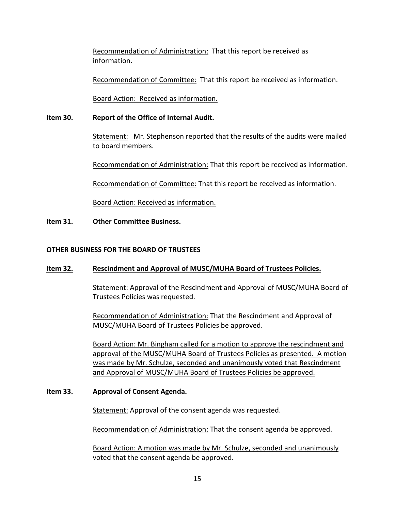Recommendation of Administration: That this report be received as information.

Recommendation of Committee: That this report be received as information.

Board Action: Received as information.

# **Item 30. Report of the Office of Internal Audit.**

Statement: Mr. Stephenson reported that the results of the audits were mailed to board members.

Recommendation of Administration: That this report be received as information.

Recommendation of Committee: That this report be received as information.

Board Action: Received as information.

# **Item 31. Other Committee Business.**

# **OTHER BUSINESS FOR THE BOARD OF TRUSTEES**

# **Item 32. Rescindment and Approval of MUSC/MUHA Board of Trustees Policies.**

Statement: Approval of the Rescindment and Approval of MUSC/MUHA Board of Trustees Policies was requested.

Recommendation of Administration: That the Rescindment and Approval of MUSC/MUHA Board of Trustees Policies be approved.

Board Action: Mr. Bingham called for a motion to approve the rescindment and approval of the MUSC/MUHA Board of Trustees Policies as presented. A motion was made by Mr. Schulze, seconded and unanimously voted that Rescindment and Approval of MUSC/MUHA Board of Trustees Policies be approved.

# **Item 33. Approval of Consent Agenda.**

Statement: Approval of the consent agenda was requested.

Recommendation of Administration: That the consent agenda be approved.

Board Action: A motion was made by Mr. Schulze, seconded and unanimously voted that the consent agenda be approved.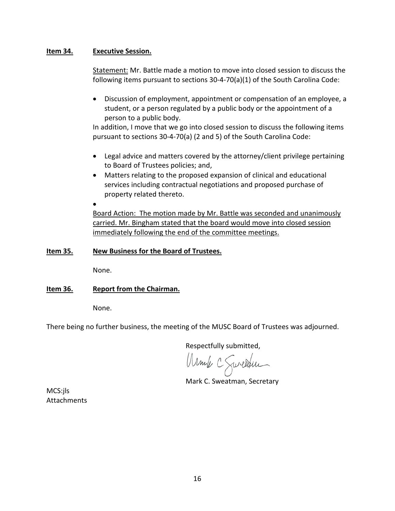# **Item 34. Executive Session.**

Statement: Mr. Battle made a motion to move into closed session to discuss the following items pursuant to sections 30-4-70(a)(1) of the South Carolina Code:

• Discussion of employment, appointment or compensation of an employee, a student, or a person regulated by a public body or the appointment of a person to a public body.

In addition, I move that we go into closed session to discuss the following items pursuant to sections 30-4-70(a) (2 and 5) of the South Carolina Code:

- Legal advice and matters covered by the attorney/client privilege pertaining to Board of Trustees policies; and,
- Matters relating to the proposed expansion of clinical and educational services including contractual negotiations and proposed purchase of property related thereto.
- •

Board Action: The motion made by Mr. Battle was seconded and unanimously carried. Mr. Bingham stated that the board would move into closed session immediately following the end of the committee meetings.

# **Item 35. New Business for the Board of Trustees.**

None.

# **Item 36. Report from the Chairman.**

None.

There being no further business, the meeting of the MUSC Board of Trustees was adjourned.

Respectfully submitted,

Armile C Sweather

Mark C. Sweatman, Secretary

MCS:jls **Attachments**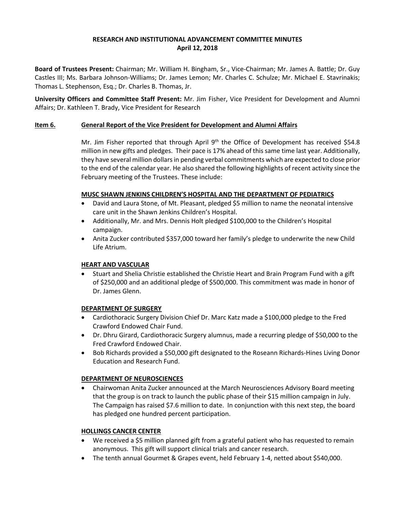### **RESEARCH AND INSTITUTIONAL ADVANCEMENT COMMITTEE MINUTES April 12, 2018**

**Board of Trustees Present:** Chairman; Mr. William H. Bingham, Sr., Vice-Chairman; Mr. James A. Battle; Dr. Guy Castles III; Ms. Barbara Johnson-Williams; Dr. James Lemon; Mr. Charles C. Schulze; Mr. Michael E. Stavrinakis; Thomas L. Stephenson, Esq.; Dr. Charles B. Thomas, Jr.

**University Officers and Committee Staff Present:** Mr. Jim Fisher, Vice President for Development and Alumni Affairs; Dr. Kathleen T. Brady, Vice President for Research

#### **Item 6. General Report of the Vice President for Development and Alumni Affairs**

Mr. Jim Fisher reported that through April  $9<sup>th</sup>$  the Office of Development has received \$54.8 million in new gifts and pledges. Their pace is 17% ahead of this same time last year. Additionally, they have several million dollars in pending verbal commitments which are expected to close prior to the end of the calendar year. He also shared the following highlights of recent activity since the February meeting of the Trustees. These include:

#### **MUSC SHAWN JENKINS CHILDREN'S HOSPITAL AND THE DEPARTMENT OF PEDIATRICS**

- David and Laura Stone, of Mt. Pleasant, pledged \$5 million to name the neonatal intensive care unit in the Shawn Jenkins Children's Hospital.
- Additionally, Mr. and Mrs. Dennis Holt pledged \$100,000 to the Children's Hospital campaign.
- Anita Zucker contributed \$357,000 toward her family's pledge to underwrite the new Child Life Atrium.

#### **HEART AND VASCULAR**

• Stuart and Shelia Christie established the Christie Heart and Brain Program Fund with a gift of \$250,000 and an additional pledge of \$500,000. This commitment was made in honor of Dr. James Glenn.

#### **DEPARTMENT OF SURGERY**

- Cardiothoracic Surgery Division Chief Dr. Marc Katz made a \$100,000 pledge to the Fred Crawford Endowed Chair Fund.
- Dr. Dhru Girard, Cardiothoracic Surgery alumnus, made a recurring pledge of \$50,000 to the Fred Crawford Endowed Chair.
- Bob Richards provided a \$50,000 gift designated to the Roseann Richards-Hines Living Donor Education and Research Fund.

#### **DEPARTMENT OF NEUROSCIENCES**

• Chairwoman Anita Zucker announced at the March Neurosciences Advisory Board meeting that the group is on track to launch the public phase of their \$15 million campaign in July. The Campaign has raised \$7.6 million to date. In conjunction with this next step, the board has pledged one hundred percent participation.

#### **HOLLINGS CANCER CENTER**

- We received a \$5 million planned gift from a grateful patient who has requested to remain anonymous. This gift will support clinical trials and cancer research.
- The tenth annual Gourmet & Grapes event, held February 1-4, netted about \$540,000.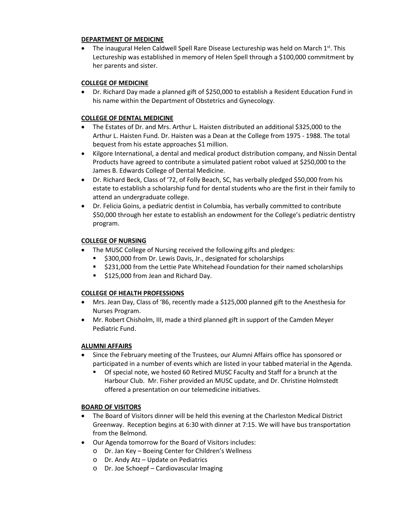#### **DEPARTMENT OF MEDICINE**

• The inaugural Helen Caldwell Spell Rare Disease Lectureship was held on March  $1<sup>st</sup>$ . This Lectureship was established in memory of Helen Spell through a \$100,000 commitment by her parents and sister.

### **COLLEGE OF MEDICINE**

• Dr. Richard Day made a planned gift of \$250,000 to establish a Resident Education Fund in his name within the Department of Obstetrics and Gynecology.

### **COLLEGE OF DENTAL MEDICINE**

- The Estates of Dr. and Mrs. Arthur L. Haisten distributed an additional \$325,000 to the Arthur L. Haisten Fund. Dr. Haisten was a Dean at the College from 1975 - 1988. The total bequest from his estate approaches \$1 million.
- Kilgore International, a dental and medical product distribution company, and Nissin Dental Products have agreed to contribute a simulated patient robot valued at \$250,000 to the James B. Edwards College of Dental Medicine.
- Dr. Richard Beck, Class of '72, of Folly Beach, SC, has verbally pledged \$50,000 from his estate to establish a scholarship fund for dental students who are the first in their family to attend an undergraduate college.
- Dr. Felicia Goins, a pediatric dentist in Columbia, has verbally committed to contribute \$50,000 through her estate to establish an endowment for the College's pediatric dentistry program.

### **COLLEGE OF NURSING**

- The MUSC College of Nursing received the following gifts and pledges:
	- **5300,000 from Dr. Lewis Davis, Jr., designated for scholarships**
	- \$231,000 from the Lettie Pate Whitehead Foundation for their named scholarships
	- **5125,000 from Jean and Richard Day.**

# **COLLEGE OF HEALTH PROFESSIONS**

- Mrs. Jean Day, Class of '86, recently made a \$125,000 planned gift to the Anesthesia for Nurses Program.
- Mr. Robert Chisholm, III, made a third planned gift in support of the Camden Meyer Pediatric Fund.

# **ALUMNI AFFAIRS**

- Since the February meeting of the Trustees, our Alumni Affairs office has sponsored or participated in a number of events which are listed in your tabbed material in the Agenda.
	- Of special note, we hosted 60 Retired MUSC Faculty and Staff for a brunch at the Harbour Club. Mr. Fisher provided an MUSC update, and Dr. Christine Holmstedt offered a presentation on our telemedicine initiatives.

# **BOARD OF VISITORS**

- The Board of Visitors dinner will be held this evening at the Charleston Medical District Greenway. Reception begins at 6:30 with dinner at 7:15. We will have bus transportation from the Belmond.
- Our Agenda tomorrow for the Board of Visitors includes:
	- o Dr. Jan Key Boeing Center for Children's Wellness
	- o Dr. Andy Atz Update on Pediatrics
	- o Dr. Joe Schoepf Cardiovascular Imaging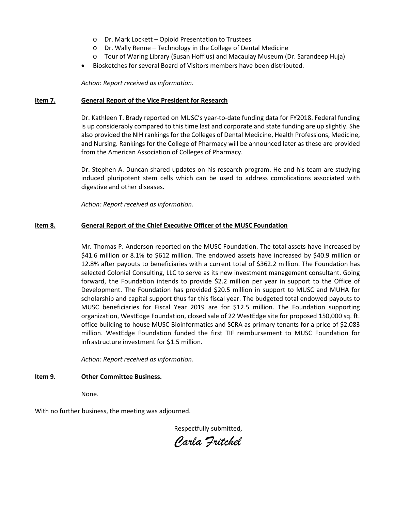- o Dr. Mark Lockett Opioid Presentation to Trustees
- o Dr. Wally Renne Technology in the College of Dental Medicine
- o Tour of Waring Library (Susan Hoffius) and Macaulay Museum (Dr. Sarandeep Huja)
- Biosketches for several Board of Visitors members have been distributed.

*Action: Report received as information.*

#### **Item 7. General Report of the Vice President for Research**

Dr. Kathleen T. Brady reported on MUSC's year-to-date funding data for FY2018. Federal funding is up considerably compared to this time last and corporate and state funding are up slightly. She also provided the NIH rankings for the Colleges of Dental Medicine, Health Professions, Medicine, and Nursing. Rankings for the College of Pharmacy will be announced later as these are provided from the American Association of Colleges of Pharmacy.

Dr. Stephen A. Duncan shared updates on his research program. He and his team are studying induced pluripotent stem cells which can be used to address complications associated with digestive and other diseases.

*Action: Report received as information.*

#### **Item 8. General Report of the Chief Executive Officer of the MUSC Foundation**

Mr. Thomas P. Anderson reported on the MUSC Foundation. The total assets have increased by \$41.6 million or 8.1% to \$612 million. The endowed assets have increased by \$40.9 million or 12.8% after payouts to beneficiaries with a current total of \$362.2 million. The Foundation has selected Colonial Consulting, LLC to serve as its new investment management consultant. Going forward, the Foundation intends to provide \$2.2 million per year in support to the Office of Development. The Foundation has provided \$20.5 million in support to MUSC and MUHA for scholarship and capital support thus far this fiscal year. The budgeted total endowed payouts to MUSC beneficiaries for Fiscal Year 2019 are for \$12.5 million. The Foundation supporting organization, WestEdge Foundation, closed sale of 22 WestEdge site for proposed 150,000 sq. ft. office building to house MUSC Bioinformatics and SCRA as primary tenants for a price of \$2.083 million. WestEdge Foundation funded the first TIF reimbursement to MUSC Foundation for infrastructure investment for \$1.5 million.

*Action: Report received as information.*

#### **Item 9**. **Other Committee Business.**

None.

With no further business, the meeting was adjourned.

Respectfully submitted,

*Carla Fritchel*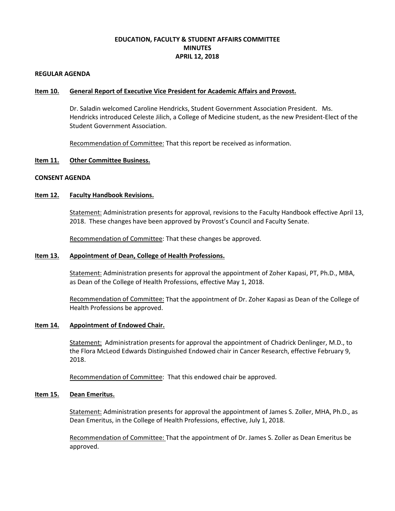# **EDUCATION, FACULTY & STUDENT AFFAIRS COMMITTEE MINUTES APRIL 12, 2018**

#### **REGULAR AGENDA**

#### **Item 10. General Report of Executive Vice President for Academic Affairs and Provost.**

Dr. Saladin welcomed Caroline Hendricks, Student Government Association President. Ms. Hendricks introduced Celeste Jilich, a College of Medicine student, as the new President-Elect of the Student Government Association.

Recommendation of Committee: That this report be received as information.

#### **Item 11. Other Committee Business.**

#### **CONSENT AGENDA**

#### **Item 12. Faculty Handbook Revisions.**

Statement: Administration presents for approval, revisions to the Faculty Handbook effective April 13, 2018. These changes have been approved by Provost's Council and Faculty Senate.

Recommendation of Committee: That these changes be approved.

#### **Item 13. Appointment of Dean, College of Health Professions.**

Statement: Administration presents for approval the appointment of Zoher Kapasi, PT, Ph.D., MBA, as Dean of the College of Health Professions, effective May 1, 2018.

Recommendation of Committee: That the appointment of Dr. Zoher Kapasi as Dean of the College of Health Professions be approved.

#### **Item 14. Appointment of Endowed Chair.**

Statement: Administration presents for approval the appointment of Chadrick Denlinger, M.D., to the Flora McLeod Edwards Distinguished Endowed chair in Cancer Research, effective February 9, 2018.

Recommendation of Committee: That this endowed chair be approved.

#### **Item 15. Dean Emeritus.**

Statement: Administration presents for approval the appointment of James S. Zoller, MHA, Ph.D., as Dean Emeritus, in the College of Health Professions, effective, July 1, 2018.

Recommendation of Committee: That the appointment of Dr. James S. Zoller as Dean Emeritus be approved.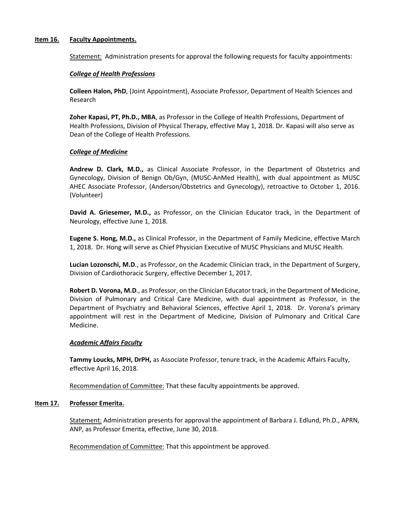#### **Item 16. Faculty Appointments.**

Statement: Administration presents for approval the following requests for faculty appointments:

#### *College of Health Professions*

**Colleen Halon, PhD**, (Joint Appointment), Associate Professor, Department of Health Sciences and Research

**Zoher Kapasi, PT, Ph.D., MBA**, as Professor in the College of Health Professions, Department of Health Professions, Division of Physical Therapy, effective May 1, 2018. Dr. Kapasi will also serve as Dean of the College of Health Professions.

#### *College of Medicine*

**Andrew D. Clark, M.D.,** as Clinical Associate Professor, in the Department of Obstetrics and Gynecology, Division of Benign Ob/Gyn, (MUSC-AnMed Health), with dual appointment as MUSC AHEC Associate Professor, (Anderson/Obstetrics and Gynecology), retroactive to October 1, 2016. (Volunteer)

**David A. Griesemer, M.D.,** as Professor, on the Clinician Educator track, in the Department of Neurology, effective June 1, 2018.

**Eugene S. Hong, M.D.,** as Clinical Professor, in the Department of Family Medicine, effective March 1, 2018. Dr. Hong will serve as Chief Physician Executive of MUSC Physicians and MUSC Health.

**Lucian Lozonschi, M.D**., as Professor, on the Academic Clinician track, in the Department of Surgery, Division of Cardiothoracic Surgery, effective December 1, 2017.

**Robert D. Vorona, M.D**., as Professor, on the Clinician Educator track, in the Department of Medicine, Division of Pulmonary and Critical Care Medicine, with dual appointment as Professor, in the Department of Psychiatry and Behavioral Sciences, effective April 1, 2018. Dr. Vorona's primary appointment will rest in the Department of Medicine, Division of Pulmonary and Critical Care Medicine.

#### *Academic Affairs Faculty*

**Tammy Loucks, MPH, DrPH,** as Associate Professor, tenure track, in the Academic Affairs Faculty, effective April 16, 2018.

Recommendation of Committee: That these faculty appointments be approved.

#### **Item 17. Professor Emerita.**

Statement: Administration presents for approval the appointment of Barbara J. Edlund, Ph.D., APRN, ANP, as Professor Emerita, effective, June 30, 2018.

Recommendation of Committee: That this appointment be approved.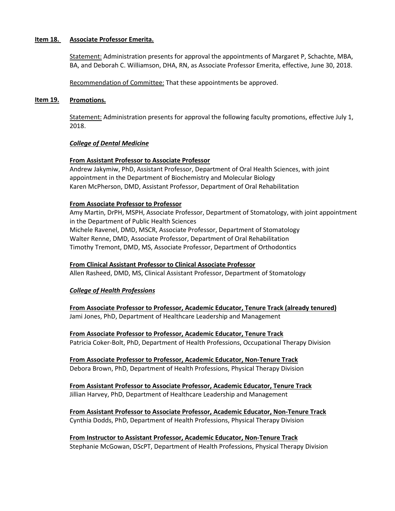#### **Item 18. Associate Professor Emerita.**

Statement: Administration presents for approval the appointments of Margaret P, Schachte, MBA, BA, and Deborah C. Williamson, DHA, RN, as Associate Professor Emerita, effective, June 30, 2018.

Recommendation of Committee: That these appointments be approved.

#### **Item 19. Promotions.**

Statement: Administration presents for approval the following faculty promotions, effective July 1, 2018.

#### *College of Dental Medicine*

#### **From Assistant Professor to Associate Professor**

Andrew Jakymiw, PhD, Assistant Professor, Department of Oral Health Sciences, with joint appointment in the Department of Biochemistry and Molecular Biology Karen McPherson, DMD, Assistant Professor, Department of Oral Rehabilitation

#### **From Associate Professor to Professor**

Amy Martin, DrPH, MSPH, Associate Professor, Department of Stomatology, with joint appointment in the Department of Public Health Sciences Michele Ravenel, DMD, MSCR, Associate Professor, Department of Stomatology Walter Renne, DMD, Associate Professor, Department of Oral Rehabilitation Timothy Tremont, DMD, MS, Associate Professor, Department of Orthodontics

# **From Clinical Assistant Professor to Clinical Associate Professor**

Allen Rasheed, DMD, MS, Clinical Assistant Professor, Department of Stomatology

#### *College of Health Professions*

**From Associate Professor to Professor, Academic Educator, Tenure Track (already tenured)** Jami Jones, PhD, Department of Healthcare Leadership and Management

**From Associate Professor to Professor, Academic Educator, Tenure Track** Patricia Coker-Bolt, PhD, Department of Health Professions, Occupational Therapy Division

**From Associate Professor to Professor, Academic Educator, Non-Tenure Track** Debora Brown, PhD, Department of Health Professions, Physical Therapy Division

**From Assistant Professor to Associate Professor, Academic Educator, Tenure Track** Jillian Harvey, PhD, Department of Healthcare Leadership and Management

**From Assistant Professor to Associate Professor, Academic Educator, Non-Tenure Track** Cynthia Dodds, PhD, Department of Health Professions, Physical Therapy Division

**From Instructor to Assistant Professor, Academic Educator, Non-Tenure Track** Stephanie McGowan, DScPT, Department of Health Professions, Physical Therapy Division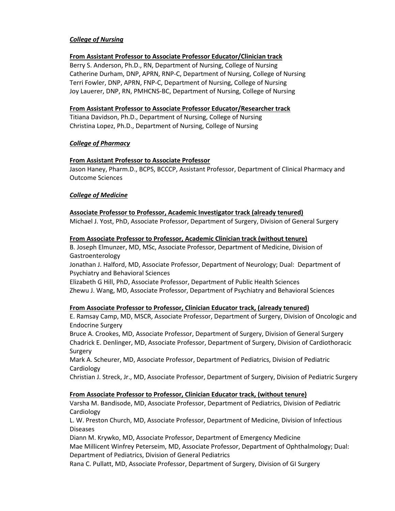### *College of Nursing*

#### **From Assistant Professor to Associate Professor Educator/Clinician track**

Berry S. Anderson, Ph.D., RN, Department of Nursing, College of Nursing Catherine Durham, DNP, APRN, RNP-C, Department of Nursing, College of Nursing Terri Fowler, DNP, APRN, FNP-C, Department of Nursing, College of Nursing Joy Lauerer, DNP, RN, PMHCNS-BC, Department of Nursing, College of Nursing

#### **From Assistant Professor to Associate Professor Educator/Researcher track**

Titiana Davidson, Ph.D., Department of Nursing, College of Nursing Christina Lopez, Ph.D., Department of Nursing, College of Nursing

#### *College of Pharmacy*

#### **From Assistant Professor to Associate Professor**

Jason Haney, Pharm.D., BCPS, BCCCP, Assistant Professor, Department of Clinical Pharmacy and Outcome Sciences

### *College of Medicine*

#### **Associate Professor to Professor, Academic Investigator track (already tenured)**

Michael J. Yost, PhD, Associate Professor, Department of Surgery, Division of General Surgery

#### **From Associate Professor to Professor, Academic Clinician track (without tenure)**

B. Joseph Elmunzer, MD, MSc, Associate Professor, Department of Medicine, Division of Gastroenterology

Jonathan J. Halford, MD, Associate Professor, Department of Neurology; Dual: Department of Psychiatry and Behavioral Sciences

Elizabeth G Hill, PhD, Associate Professor, Department of Public Health Sciences Zhewu J. Wang, MD, Associate Professor, Department of Psychiatry and Behavioral Sciences

#### **From Associate Professor to Professor, Clinician Educator track, (already tenured)**

E. Ramsay Camp, MD, MSCR, Associate Professor, Department of Surgery, Division of Oncologic and Endocrine Surgery

Bruce A. Crookes, MD, Associate Professor, Department of Surgery, Division of General Surgery Chadrick E. Denlinger, MD, Associate Professor, Department of Surgery, Division of Cardiothoracic Surgery

Mark A. Scheurer, MD, Associate Professor, Department of Pediatrics, Division of Pediatric **Cardiology** 

Christian J. Streck, Jr., MD, Associate Professor, Department of Surgery, Division of Pediatric Surgery

#### **From Associate Professor to Professor, Clinician Educator track, (without tenure)**

Varsha M. Bandisode, MD, Associate Professor, Department of Pediatrics, Division of Pediatric **Cardiology** 

L. W. Preston Church, MD, Associate Professor, Department of Medicine, Division of Infectious Diseases

Diann M. Krywko, MD, Associate Professor, Department of Emergency Medicine Mae Millicent Winfrey Peterseim, MD, Associate Professor, Department of Ophthalmology; Dual: Department of Pediatrics, Division of General Pediatrics

Rana C. Pullatt, MD, Associate Professor, Department of Surgery, Division of GI Surgery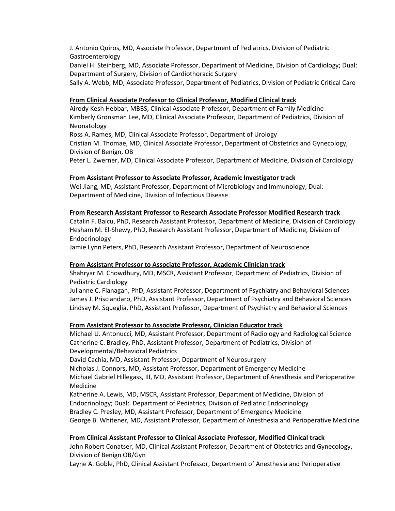J. Antonio Quiros, MD, Associate Professor, Department of Pediatrics, Division of Pediatric Gastroenterology

Daniel H. Steinberg, MD, Associate Professor, Department of Medicine, Division of Cardiology; Dual: Department of Surgery, Division of Cardiothoracic Surgery

Sally A. Webb, MD, Associate Professor, Department of Pediatrics, Division of Pediatric Critical Care

#### **From Clinical Associate Professor to Clinical Professor, Modified Clinical track**

Airody Kesh Hebbar, MBBS, Clinical Associate Professor, Department of Family Medicine Kimberly Gronsman Lee, MD, Clinical Associate Professor, Department of Pediatrics, Division of Neonatology

Ross A. Rames, MD, Clinical Associate Professor, Department of Urology

Cristian M. Thomae, MD, Clinical Associate Professor, Department of Obstetrics and Gynecology, Division of Benign, OB

Peter L. Zwerner, MD, Clinical Associate Professor, Department of Medicine, Division of Cardiology

#### **From Assistant Professor to Associate Professor, Academic Investigator track**

Wei Jiang, MD, Assistant Professor, Department of Microbiology and Immunology; Dual: Department of Medicine, Division of Infectious Disease

#### **From Research Assistant Professor to Research Associate Professor Modified Research track**

Catalin F. Baicu, PhD, Research Assistant Professor, Department of Medicine, Division of Cardiology Hesham M. El-Shewy, PhD, Research Assistant Professor, Department of Medicine, Division of Endocrinology

Jamie Lynn Peters, PhD, Research Assistant Professor, Department of Neuroscience

#### **From Assistant Professor to Associate Professor, Academic Clinician track**

Shahryar M. Chowdhury, MD, MSCR, Assistant Professor, Department of Pediatrics, Division of Pediatric Cardiology

Julianne C. Flanagan, PhD, Assistant Professor, Department of Psychiatry and Behavioral Sciences James J. Prisciandaro, PhD, Assistant Professor, Department of Psychiatry and Behavioral Sciences Lindsay M. Squeglia, PhD, Assistant Professor, Department of Psychiatry and Behavioral Sciences

#### **From Assistant Professor to Associate Professor, Clinician Educator track**

Michael U. Antonucci, MD, Assistant Professor, Department of Radiology and Radiological Science Catherine C. Bradley, PhD, Assistant Professor, Department of Pediatrics, Division of Developmental/Behavioral Pediatrics

David Cachia, MD, Assistant Professor, Department of Neurosurgery

Nicholas J. Connors, MD, Assistant Professor, Department of Emergency Medicine Michael Gabriel Hillegass, III, MD, Assistant Professor, Department of Anesthesia and Perioperative Medicine

Katherine A. Lewis, MD, MSCR, Assistant Professor, Department of Medicine, Division of Endocrinology; Dual: Department of Pediatrics, Division of Pediatric Endocrinology Bradley C. Presley, MD, Assistant Professor, Department of Emergency Medicine George B. Whitener, MD, Assistant Professor, Department of Anesthesia and Perioperative Medicine

#### **From Clinical Assistant Professor to Clinical Associate Professor, Modified Clinical track**

John Robert Conatser, MD, Clinical Assistant Professor, Department of Obstetrics and Gynecology, Division of Benign OB/Gyn

Layne A. Goble, PhD, Clinical Assistant Professor, Department of Anesthesia and Perioperative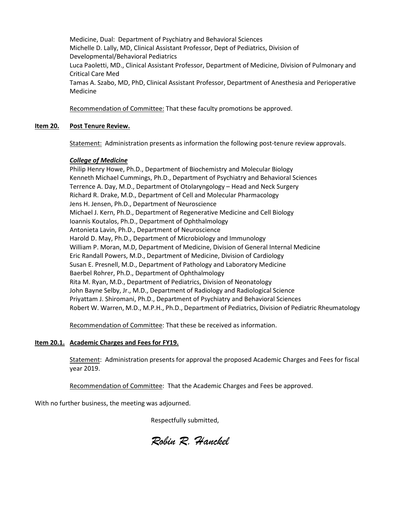Medicine, Dual: Department of Psychiatry and Behavioral Sciences Michelle D. Lally, MD, Clinical Assistant Professor, Dept of Pediatrics, Division of Developmental/Behavioral Pediatrics Luca Paoletti, MD., Clinical Assistant Professor, Department of Medicine, Division of Pulmonary and Critical Care Med Tamas A. Szabo, MD, PhD, Clinical Assistant Professor, Department of Anesthesia and Perioperative Medicine

Recommendation of Committee: That these faculty promotions be approved.

### **Item 20. Post Tenure Review.**

Statement: Administration presents as information the following post-tenure review approvals.

#### *College of Medicine*

Philip Henry Howe, Ph.D., Department of Biochemistry and Molecular Biology Kenneth Michael Cummings, Ph.D., Department of Psychiatry and Behavioral Sciences Terrence A. Day, M.D., Department of Otolaryngology – Head and Neck Surgery Richard R. Drake, M.D., Department of Cell and Molecular Pharmacology Jens H. Jensen, Ph.D., Department of Neuroscience Michael J. Kern, Ph.D., Department of Regenerative Medicine and Cell Biology Ioannis Koutalos, Ph.D., Department of Ophthalmology Antonieta Lavin, Ph.D., Department of Neuroscience Harold D. May, Ph.D., Department of Microbiology and Immunology William P. Moran, M.D, Department of Medicine, Division of General Internal Medicine Eric Randall Powers, M.D., Department of Medicine, Division of Cardiology Susan E. Presnell, M.D., Department of Pathology and Laboratory Medicine Baerbel Rohrer, Ph.D., Department of Ophthalmology Rita M. Ryan, M.D., Department of Pediatrics, Division of Neonatology John Bayne Selby, Jr., M.D., Department of Radiology and Radiological Science Priyattam J. Shiromani, Ph.D., Department of Psychiatry and Behavioral Sciences Robert W. Warren, M.D., M.P.H., Ph.D., Department of Pediatrics, Division of Pediatric Rheumatology

Recommendation of Committee: That these be received as information.

#### **Item 20.1. Academic Charges and Fees for FY19.**

Statement: Administration presents for approval the proposed Academic Charges and Fees for fiscal year 2019.

Recommendation of Committee: That the Academic Charges and Fees be approved.

With no further business, the meeting was adjourned.

Respectfully submitted,

*Robin R. Hanckel*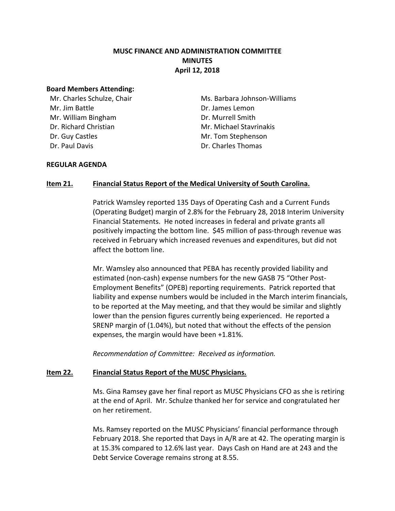# **MUSC FINANCE AND ADMINISTRATION COMMITTEE MINUTES April 12, 2018**

### **Board Members Attending:**

Mr. Charles Schulze, Chair Mr. Jim Battle Mr. William Bingham Dr. Richard Christian Dr. Guy Castles Dr. Paul Davis

Ms. Barbara Johnson-Williams Dr. James Lemon Dr. Murrell Smith Mr. Michael Stavrinakis Mr. Tom Stephenson Dr. Charles Thomas

### **REGULAR AGENDA**

# **Item 21. Financial Status Report of the Medical University of South Carolina.**

Patrick Wamsley reported 135 Days of Operating Cash and a Current Funds (Operating Budget) margin of 2.8% for the February 28, 2018 Interim University Financial Statements. He noted increases in federal and private grants all positively impacting the bottom line. \$45 million of pass-through revenue was received in February which increased revenues and expenditures, but did not affect the bottom line.

Mr. Wamsley also announced that PEBA has recently provided liability and estimated (non-cash) expense numbers for the new GASB 75 "Other Post-Employment Benefits" (OPEB) reporting requirements. Patrick reported that liability and expense numbers would be included in the March interim financials, to be reported at the May meeting, and that they would be similar and slightly lower than the pension figures currently being experienced. He reported a SRENP margin of (1.04%), but noted that without the effects of the pension expenses, the margin would have been +1.81%.

*Recommendation of Committee: Received as information.*

# **Item 22. Financial Status Report of the MUSC Physicians.**

Ms. Gina Ramsey gave her final report as MUSC Physicians CFO as she is retiring at the end of April. Mr. Schulze thanked her for service and congratulated her on her retirement.

Ms. Ramsey reported on the MUSC Physicians' financial performance through February 2018. She reported that Days in A/R are at 42. The operating margin is at 15.3% compared to 12.6% last year. Days Cash on Hand are at 243 and the Debt Service Coverage remains strong at 8.55.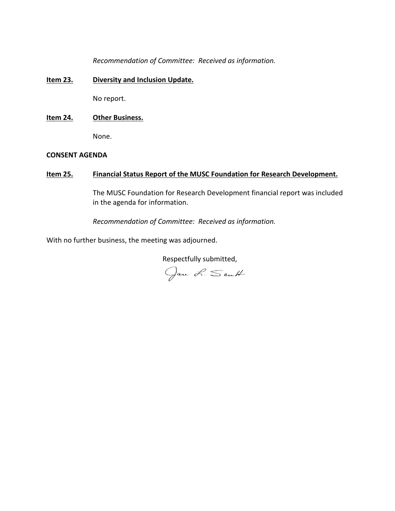*Recommendation of Committee: Received as information.*

### **Item 23. Diversity and Inclusion Update.**

No report.

### **Item 24. Other Business.**

None.

### **CONSENT AGENDA**

# **Item 25. Financial Status Report of the MUSC Foundation for Research Development.**

The MUSC Foundation for Research Development financial report was included in the agenda for information.

*Recommendation of Committee: Received as information.*

With no further business, the meeting was adjourned.

Respectfully submitted,

Jan L. South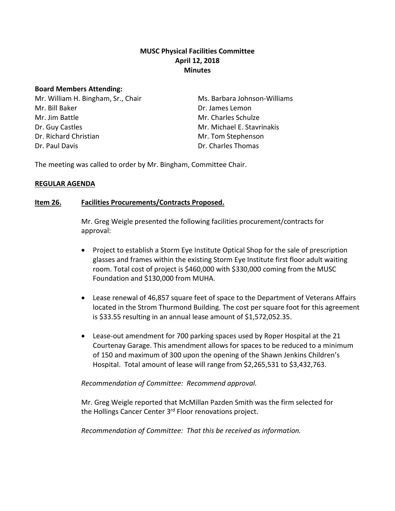# **MUSC Physical Facilities Committee April 12, 2018 Minutes**

### **Board Members Attending:**

Mr. William H. Bingham, Sr., Chair Mr. Bill Baker Mr. Jim Battle Dr. Guy Castles Dr. Richard Christian Dr. Paul Davis

Ms. Barbara Johnson-Williams Dr. James Lemon Mr. Charles Schulze Mr. Michael E. Stavrinakis Mr. Tom Stephenson Dr. Charles Thomas

The meeting was called to order by Mr. Bingham, Committee Chair.

# **REGULAR AGENDA**

# **Item 26. Facilities Procurements/Contracts Proposed.**

Mr. Greg Weigle presented the following facilities procurement/contracts for approval:

- Project to establish a Storm Eye Institute Optical Shop for the sale of prescription glasses and frames within the existing Storm Eye Institute first floor adult waiting room. Total cost of project is \$460,000 with \$330,000 coming from the MUSC Foundation and \$130,000 from MUHA.
- Lease renewal of 46,857 square feet of space to the Department of Veterans Affairs located in the Strom Thurmond Building. The cost per square foot for this agreement is \$33.55 resulting in an annual lease amount of \$1,572,052.35.
- Lease-out amendment for 700 parking spaces used by Roper Hospital at the 21 Courtenay Garage. This amendment allows for spaces to be reduced to a minimum of 150 and maximum of 300 upon the opening of the Shawn Jenkins Children's Hospital. Total amount of lease will range from \$2,265,531 to \$3,432,763.

# *Recommendation of Committee: Recommend approval.*

Mr. Greg Weigle reported that McMillan Pazden Smith was the firm selected for the Hollings Cancer Center 3<sup>rd</sup> Floor renovations project.

*Recommendation of Committee: That this be received as information.*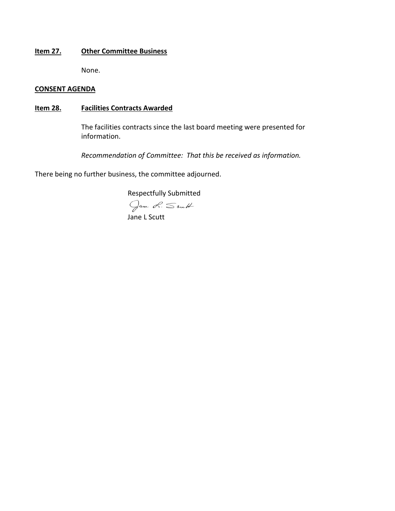### **Item 27. Other Committee Business**

None.

### **CONSENT AGENDA**

# **Item 28. Facilities Contracts Awarded**

The facilities contracts since the last board meeting were presented for information.

*Recommendation of Committee: That this be received as information.*

There being no further business, the committee adjourned.

Respectfully Submitted

Jan L. South<br>Jane L Scutt